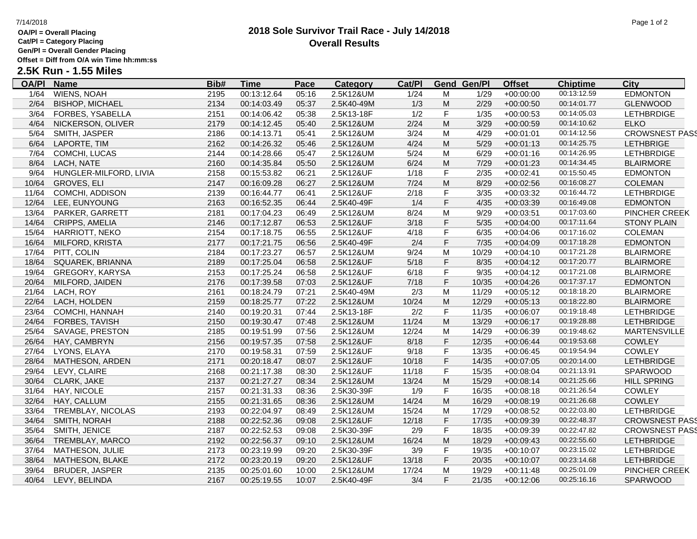## **OA/Pl = Overall Placing**

**Cat/Pl = Category Placing**

**Gen/Pl = Overall Gender Placing**

**Offset = Diff from O/A win Time hh:mm:ss**

# **2.5K Run - 1.55 Miles**

| <b>OA/PI</b> | <b>Name</b>            | Bib# | <u>Time</u> | <b>Pace</b> | <b>Category</b> | Cat/PI |                                                                                                            | <b>Gend Gen/Pl</b> | <b>Offset</b> | <b>Chiptime</b> | City                  |
|--------------|------------------------|------|-------------|-------------|-----------------|--------|------------------------------------------------------------------------------------------------------------|--------------------|---------------|-----------------|-----------------------|
| 1/64         | <b>WIENS, NOAH</b>     | 2195 | 00:13:12.64 | 05:16       | 2.5K12&UM       | 1/24   | м                                                                                                          | 1/29               | $+00:00:00$   | 00:13:12.59     | <b>EDMONTON</b>       |
| 2/64         | <b>BISHOP, MICHAEL</b> | 2134 | 00:14:03.49 | 05:37       | 2.5K40-49M      | 1/3    | M                                                                                                          | 2/29               | $+00:00:50$   | 00:14:01.77     | <b>GLENWOOD</b>       |
| 3/64         | FORBES, YSABELLA       | 2151 | 00:14:06.42 | 05:38       | 2.5K13-18F      | 1/2    | F                                                                                                          | 1/35               | $+00:00:53$   | 00:14:05.03     | <b>LETHBRDIGE</b>     |
| 4/64         | NICKERSON, OLIVER      | 2179 | 00:14:12.45 | 05:40       | 2.5K12&UM       | 2/24   | M                                                                                                          | 3/29               | $+00:00:59$   | 00:14:10.62     | <b>ELKO</b>           |
| 5/64         | SMITH, JASPER          | 2186 | 00:14:13.71 | 05:41       | 2.5K12&UM       | 3/24   | M                                                                                                          | 4/29               | $+00:01:01$   | 00:14:12.56     | <b>CROWSNEST PASS</b> |
| 6/64         | LAPORTE, TIM           | 2162 | 00:14:26.32 | 05:46       | 2.5K12&UM       | 4/24   | M                                                                                                          | 5/29               | $+00:01:13$   | 00:14:25.75     | <b>LETHBRIGE</b>      |
| 7/64         | COMCHI, LUCAS          | 2144 | 00:14:28.66 | 05:47       | 2.5K12&UM       | 5/24   | M                                                                                                          | 6/29               | $+00:01:16$   | 00:14:26.95     | <b>LETHBRDIGE</b>     |
| 8/64         | LACH, NATE             | 2160 | 00:14:35.84 | 05:50       | 2.5K12&UM       | 6/24   | $\mathsf{M}% _{T}=\mathsf{M}_{T}\!\left( a,b\right) ,\ \mathsf{M}_{T}=\mathsf{M}_{T}\!\left( a,b\right) ,$ | 7/29               | $+00:01:23$   | 00:14:34.45     | <b>BLAIRMORE</b>      |
| 9/64         | HUNGLER-MILFORD, LIVIA | 2158 | 00:15:53.82 | 06:21       | 2.5K12&UF       | 1/18   | F                                                                                                          | 2/35               | $+00:02:41$   | 00:15:50.45     | <b>EDMONTON</b>       |
| 10/64        | <b>GROVES, ELI</b>     | 2147 | 00:16:09.28 | 06:27       | 2.5K12&UM       | $7/24$ | M                                                                                                          | 8/29               | $+00:02:56$   | 00:16:08.27     | <b>COLEMAN</b>        |
| 11/64        | COMCHI, ADDISON        | 2139 | 00:16:44.77 | 06:41       | 2.5K12&UF       | 2/18   | F                                                                                                          | 3/35               | $+00:03:32$   | 00:16:44.72     | <b>LETHBRDIGE</b>     |
| 12/64        | LEE, EUNYOUNG          | 2163 | 00:16:52.35 | 06:44       | 2.5K40-49F      | 1/4    | F                                                                                                          | 4/35               | $+00:03:39$   | 00:16:49.08     | <b>EDMONTON</b>       |
| 13/64        | PARKER, GARRETT        | 2181 | 00:17:04.23 | 06:49       | 2.5K12&UM       | 8/24   | M                                                                                                          | 9/29               | $+00:03:51$   | 00:17:03.60     | PINCHER CREEK         |
| 14/64        | CRIPPS, AMELIA         | 2146 | 00:17:12.87 | 06:53       | 2.5K12&UF       | 3/18   | F                                                                                                          | 5/35               | $+00:04:00$   | 00:17:11.64     | <b>STONY PLAIN</b>    |
| 15/64        | HARRIOTT, NEKO         | 2154 | 00:17:18.75 | 06:55       | 2.5K12&UF       | 4/18   | F                                                                                                          | 6/35               | $+00:04:06$   | 00:17:16.02     | <b>COLEMAN</b>        |
| 16/64        | <b>MILFORD, KRISTA</b> | 2177 | 00:17:21.75 | 06:56       | 2.5K40-49F      | 2/4    | F                                                                                                          | $7/35$             | $+00:04:09$   | 00:17:18.28     | <b>EDMONTON</b>       |
| 17/64        | PITT, COLIN            | 2184 | 00:17:23.27 | 06:57       | 2.5K12&UM       | 9/24   | M                                                                                                          | 10/29              | $+00:04:10$   | 00:17:21.28     | <b>BLAIRMORE</b>      |
| 18/64        | SQUAREK, BRIANNA       | 2189 | 00:17:25.04 | 06:58       | 2.5K12&UF       | 5/18   | F                                                                                                          | 8/35               | $+00:04:12$   | 00:17:20.77     | <b>BLAIRMORE</b>      |
| 19/64        | GREGORY, KARYSA        | 2153 | 00:17:25.24 | 06:58       | 2.5K12&UF       | 6/18   | F                                                                                                          | 9/35               | $+00:04:12$   | 00:17:21.08     | <b>BLAIRMORE</b>      |
| 20/64        | MILFORD, JAIDEN        | 2176 | 00:17:39.58 | 07:03       | 2.5K12&UF       | 7/18   | F                                                                                                          | 10/35              | $+00:04:26$   | 00:17:37.17     | <b>EDMONTON</b>       |
| 21/64        | LACH, ROY              | 2161 | 00:18:24.79 | 07:21       | 2.5K40-49M      | 2/3    | M                                                                                                          | 11/29              | $+00:05:12$   | 00:18:18.20     | <b>BLAIRMORE</b>      |
| 22/64        | LACH, HOLDEN           | 2159 | 00:18:25.77 | 07:22       | 2.5K12&UM       | 10/24  | M                                                                                                          | 12/29              | $+00:05:13$   | 00:18:22.80     | <b>BLAIRMORE</b>      |
| 23/64        | COMCHI, HANNAH         | 2140 | 00:19:20.31 | 07:44       | 2.5K13-18F      | 2/2    | F                                                                                                          | 11/35              | $+00:06:07$   | 00:19:18.48     | <b>LETHBRIDGE</b>     |
| 24/64        | FORBES, TAVISH         | 2150 | 00:19:30.47 | 07:48       | 2.5K12&UM       | 11/24  | M                                                                                                          | 13/29              | $+00:06:17$   | 00:19:28.88     | <b>LETHBRIDGE</b>     |
| 25/64        | SAVAGE, PRESTON        | 2185 | 00:19:51.99 | 07:56       | 2.5K12&UM       | 12/24  | M                                                                                                          | 14/29              | $+00:06:39$   | 00:19:48.62     | <b>MARTENSVILLE</b>   |
| 26/64        | HAY, CAMBRYN           | 2156 | 00:19:57.35 | 07:58       | 2.5K12&UF       | 8/18   | F                                                                                                          | 12/35              | $+00:06:44$   | 00:19:53.68     | <b>COWLEY</b>         |
| 27/64        | LYONS, ELAYA           | 2170 | 00:19:58.31 | 07:59       | 2.5K12&UF       | 9/18   | F                                                                                                          | 13/35              | $+00:06:45$   | 00:19:54.94     | <b>COWLEY</b>         |
| 28/64        | MATHESON, ARDEN        | 2171 | 00:20:18.47 | 08:07       | 2.5K12&UF       | 10/18  | F                                                                                                          | 14/35              | $+00:07:05$   | 00:20:14.00     | <b>LETHBRIDGE</b>     |
| 29/64        | LEVY, CLAIRE           | 2168 | 00:21:17.38 | 08:30       | 2.5K12&UF       | 11/18  | F                                                                                                          | 15/35              | $+00:08:04$   | 00:21:13.91     | SPARWOOD              |
| 30/64        | <b>CLARK, JAKE</b>     | 2137 | 00:21:27.27 | 08:34       | 2.5K12&UM       | 13/24  | M                                                                                                          | 15/29              | $+00:08:14$   | 00:21:25.66     | <b>HILL SPRING</b>    |
| 31/64        | HAY, NICOLE            | 2157 | 00:21:31.33 | 08:36       | 2.5K30-39F      | 1/9    | F                                                                                                          | 16/35              | $+00:08:18$   | 00:21:26.54     | <b>COWLEY</b>         |
| 32/64        | HAY, CALLUM            | 2155 | 00:21:31.65 | 08:36       | 2.5K12&UM       | 14/24  | $\mathsf{M}% _{T}=\mathsf{M}_{T}\!\left( a,b\right) ,\ \mathsf{M}_{T}=\mathsf{M}_{T}\!\left( a,b\right) ,$ | 16/29              | $+00:08:19$   | 00:21:26.68     | <b>COWLEY</b>         |
| 33/64        | TREMBLAY, NICOLAS      | 2193 | 00:22:04.97 | 08:49       | 2.5K12&UM       | 15/24  | M                                                                                                          | 17/29              | $+00:08:52$   | 00:22:03.80     | <b>LETHBRIDGE</b>     |
| 34/64        | SMITH, NORAH           | 2188 | 00:22:52.36 | 09:08       | 2.5K12&UF       | 12/18  | F                                                                                                          | 17/35              | $+00:09:39$   | 00:22:48.37     | <b>CROWSNEST PASS</b> |
| 35/64        | SMITH, JENICE          | 2187 | 00:22:52.53 | 09:08       | 2.5K30-39F      | 2/9    | F                                                                                                          | 18/35              | $+00:09:39$   | 00:22:47.82     | <b>CROWSNEST PASS</b> |
| 36/64        | TREMBLAY, MARCO        | 2192 | 00:22:56.37 | 09:10       | 2.5K12&UM       | 16/24  | M                                                                                                          | 18/29              | $+00:09:43$   | 00:22:55.60     | <b>LETHBRIDGE</b>     |
| 37/64        | <b>MATHESON, JULIE</b> | 2173 | 00:23:19.99 | 09:20       | 2.5K30-39F      | 3/9    | F                                                                                                          | 19/35              | $+00:10:07$   | 00:23:15.02     | <b>LETHBRIDGE</b>     |
| 38/64        | MATHESON, BLAKE        | 2172 | 00:23:20.19 | 09:20       | 2.5K12&UF       | 13/18  | F                                                                                                          | 20/35              | $+00:10:07$   | 00:23:14.68     | <b>LETHBRIDGE</b>     |
| 39/64        | BRUDER, JASPER         | 2135 | 00:25:01.60 | 10:00       | 2.5K12&UM       | 17/24  | M                                                                                                          | 19/29              | $+00:11:48$   | 00:25:01.09     | PINCHER CREEK         |
| 40/64        | LEVY, BELINDA          | 2167 | 00:25:19.55 | 10:07       | 2.5K40-49F      | 3/4    | F                                                                                                          | 21/35              | $+00:12:06$   | 00:25:16.16     | <b>SPARWOOD</b>       |

### **2018 Sole Survivor Trail Race - July 14/2018** 7/14/2018 Page 1 of 2 **Overall Results**